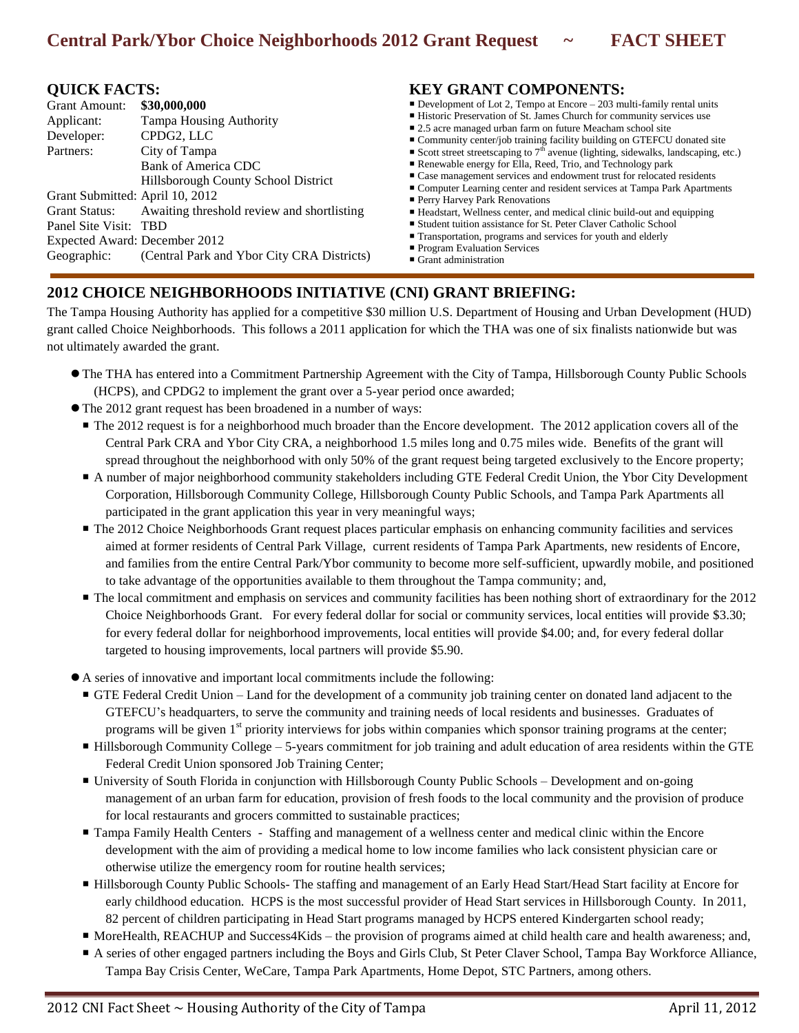## **QUICK FACTS:**

| \$30,000,000                                             |
|----------------------------------------------------------|
| <b>Tampa Housing Authority</b>                           |
| CPDG2, LLC                                               |
| City of Tampa                                            |
| Bank of America CDC                                      |
| Hillsborough County School District                      |
| Grant Submitted: April 10, 2012                          |
| Grant Status: Awaiting threshold review and shortlisting |
| Panel Site Visit: TBD                                    |
| Expected Award: December 2012                            |
| (Central Park and Ybor City CRA Districts)               |
|                                                          |

## **KEY GRANT COMPONENTS:**

- Development of Lot 2, Tempo at Encore  $-203$  multi-family rental units
- Historic Preservation of St. James Church for community services use
- 2.5 acre managed urban farm on future Meacham school site
- Community center/job training facility building on GTEFCU donated site
- Scott street streetscaping to  $7<sup>th</sup>$  avenue (lighting, sidewalks, landscaping, etc.)
- Renewable energy for Ella, Reed, Trio, and Technology park
- Case management services and endowment trust for relocated residents
- Computer Learning center and resident services at Tampa Park Apartments **Perry Harvey Park Renovations**
- 
- Headstart, Wellness center, and medical clinic build-out and equipping ■ Student tuition assistance for St. Peter Claver Catholic School
- Transportation, programs and services for youth and elderly
- **Program Evaluation Services**
- Grant administration

## **2012 CHOICE NEIGHBORHOODS INITIATIVE (CNI) GRANT BRIEFING:**

The Tampa Housing Authority has applied for a competitive \$30 million U.S. Department of Housing and Urban Development (HUD) grant called Choice Neighborhoods. This follows a 2011 application for which the THA was one of six finalists nationwide but was not ultimately awarded the grant.

- The THA has entered into a Commitment Partnership Agreement with the City of Tampa, Hillsborough County Public Schools (HCPS), and CPDG2 to implement the grant over a 5-year period once awarded;
- The 2012 grant request has been broadened in a number of ways:
	- The 2012 request is for a neighborhood much broader than the Encore development. The 2012 application covers all of the Central Park CRA and Ybor City CRA, a neighborhood 1.5 miles long and 0.75 miles wide. Benefits of the grant will spread throughout the neighborhood with only 50% of the grant request being targeted exclusively to the Encore property;
	- A number of major neighborhood community stakeholders including GTE Federal Credit Union, the Ybor City Development Corporation, Hillsborough Community College, Hillsborough County Public Schools, and Tampa Park Apartments all participated in the grant application this year in very meaningful ways;
	- The 2012 Choice Neighborhoods Grant request places particular emphasis on enhancing community facilities and services aimed at former residents of Central Park Village, current residents of Tampa Park Apartments, new residents of Encore, and families from the entire Central Park/Ybor community to become more self-sufficient, upwardly mobile, and positioned to take advantage of the opportunities available to them throughout the Tampa community; and,
	- The local commitment and emphasis on services and community facilities has been nothing short of extraordinary for the 2012 Choice Neighborhoods Grant. For every federal dollar for social or community services, local entities will provide \$3.30; for every federal dollar for neighborhood improvements, local entities will provide \$4.00; and, for every federal dollar targeted to housing improvements, local partners will provide \$5.90.
- A series of innovative and important local commitments include the following:
	- GTE Federal Credit Union Land for the development of a community job training center on donated land adjacent to the GTEFCU's headquarters, to serve the community and training needs of local residents and businesses. Graduates of programs will be given  $1<sup>st</sup>$  priority interviews for jobs within companies which sponsor training programs at the center;
	- Hillsborough Community College 5-years commitment for job training and adult education of area residents within the GTE Federal Credit Union sponsored Job Training Center;
	- University of South Florida in conjunction with Hillsborough County Public Schools Development and on-going management of an urban farm for education, provision of fresh foods to the local community and the provision of produce for local restaurants and grocers committed to sustainable practices;
	- Tampa Family Health Centers Staffing and management of a wellness center and medical clinic within the Encore development with the aim of providing a medical home to low income families who lack consistent physician care or otherwise utilize the emergency room for routine health services;
	- Hillsborough County Public Schools- The staffing and management of an Early Head Start/Head Start facility at Encore for early childhood education. HCPS is the most successful provider of Head Start services in Hillsborough County. In 2011, 82 percent of children participating in Head Start programs managed by HCPS entered Kindergarten school ready;
	- MoreHealth, REACHUP and Success4Kids the provision of programs aimed at child health care and health awareness; and,
	- A series of other engaged partners including the Boys and Girls Club, St Peter Claver School, Tampa Bay Workforce Alliance, Tampa Bay Crisis Center, WeCare, Tampa Park Apartments, Home Depot, STC Partners, among others.